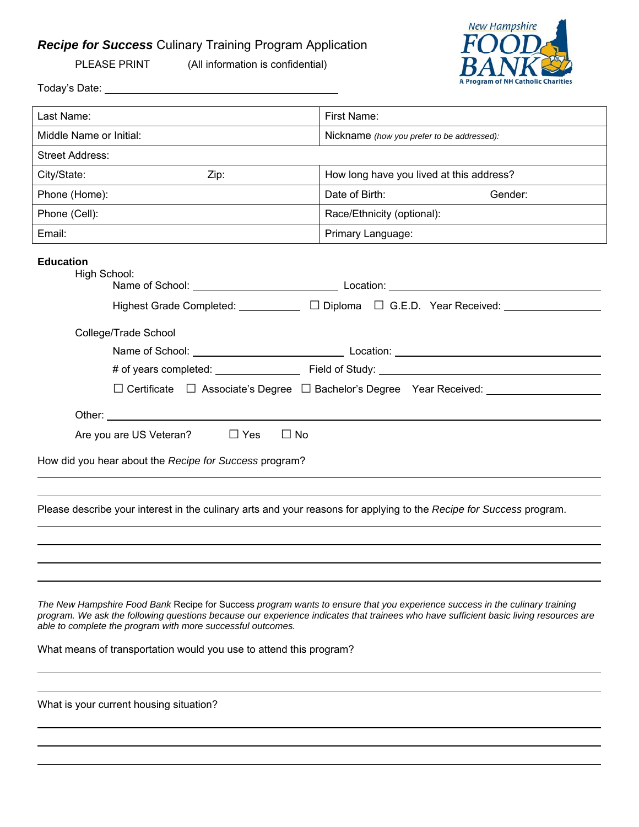## *Recipe for Success* Culinary Training Program Application



PLEASE PRINT (All information is confidential)

| Last Name:                                                                                                                        | First Name:                                                                                                                                                                                                                                                          |
|-----------------------------------------------------------------------------------------------------------------------------------|----------------------------------------------------------------------------------------------------------------------------------------------------------------------------------------------------------------------------------------------------------------------|
| Middle Name or Initial:                                                                                                           | Nickname (how you prefer to be addressed):                                                                                                                                                                                                                           |
| <b>Street Address:</b>                                                                                                            |                                                                                                                                                                                                                                                                      |
| City/State:<br>Zip:                                                                                                               | How long have you lived at this address?                                                                                                                                                                                                                             |
| Phone (Home):                                                                                                                     | Date of Birth:<br>Gender:                                                                                                                                                                                                                                            |
| Phone (Cell):                                                                                                                     | Race/Ethnicity (optional):                                                                                                                                                                                                                                           |
| Email:                                                                                                                            | Primary Language:                                                                                                                                                                                                                                                    |
| <b>Education</b><br>High School:                                                                                                  |                                                                                                                                                                                                                                                                      |
| College/Trade School                                                                                                              |                                                                                                                                                                                                                                                                      |
|                                                                                                                                   |                                                                                                                                                                                                                                                                      |
|                                                                                                                                   |                                                                                                                                                                                                                                                                      |
|                                                                                                                                   | □ Certificate □ Associate's Degree □ Bachelor's Degree Year Received: _________________                                                                                                                                                                              |
|                                                                                                                                   |                                                                                                                                                                                                                                                                      |
|                                                                                                                                   |                                                                                                                                                                                                                                                                      |
| Are you are US Veteran?                                                                                                           | $\Box$ Yes<br>$\Box$ No                                                                                                                                                                                                                                              |
| How did you hear about the Recipe for Success program?                                                                            |                                                                                                                                                                                                                                                                      |
|                                                                                                                                   |                                                                                                                                                                                                                                                                      |
|                                                                                                                                   | Please describe your interest in the culinary arts and your reasons for applying to the Recipe for Success program.                                                                                                                                                  |
| able to complete the program with more successful outcomes.<br>What means of transportation would you use to attend this program? | The New Hampshire Food Bank Recipe for Success program wants to ensure that you experience success in the culinary training<br>program. We ask the following questions because our experience indicates that trainees who have sufficient basic living resources are |
| What is your current housing situation?                                                                                           |                                                                                                                                                                                                                                                                      |
|                                                                                                                                   |                                                                                                                                                                                                                                                                      |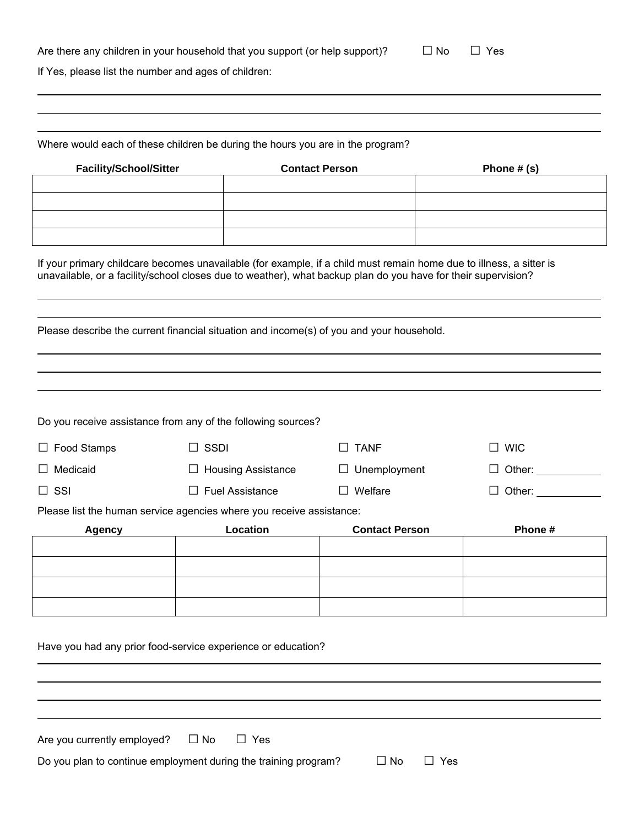| Are there any children in your household that you support (or help support)? | $\square$ No $\square$ Yes |
|------------------------------------------------------------------------------|----------------------------|
|                                                                              |                            |

If Yes, please list the number and ages of children:

Where would each of these children be during the hours you are in the program?

| <b>Facility/School/Sitter</b> | <b>Contact Person</b> | Phone $#(s)$ |
|-------------------------------|-----------------------|--------------|
|                               |                       |              |
|                               |                       |              |
|                               |                       |              |
|                               |                       |              |

If your primary childcare becomes unavailable (for example, if a child must remain home due to illness, a sitter is unavailable, or a facility/school closes due to weather), what backup plan do you have for their supervision?

Please describe the current financial situation and income(s) of you and your household.

| Do you receive assistance from any of the following sources?         |                           |                        |            |
|----------------------------------------------------------------------|---------------------------|------------------------|------------|
| $\Box$ Food Stamps                                                   | <b>SSDI</b>               | <b>TANF</b><br>$\perp$ | <b>WIC</b> |
| $\Box$ Medicaid                                                      | <b>Housing Assistance</b> | Unemployment<br>ப      | Other:     |
| $\Box$ SSI                                                           | <b>Fuel Assistance</b>    | $\Box$ Welfare         | Other:     |
| Please list the human service agencies where you receive assistance: |                           |                        |            |
| <b>Agency</b>                                                        | Location                  | <b>Contact Person</b>  | Phone#     |
|                                                                      |                           |                        |            |
|                                                                      |                           |                        |            |
|                                                                      |                           |                        |            |
|                                                                      |                           |                        |            |

Have you had any prior food-service experience or education?

| Are you currently employed? | $\square$ No | $\Box$ Yes |
|-----------------------------|--------------|------------|
|                             |              |            |

Do you plan to continue employment during the training program?  $\Box$  No  $\Box$  Yes

| – I No | $\mathcal{N}_{\mathbf{f}}$ |
|--------|----------------------------|
|--------|----------------------------|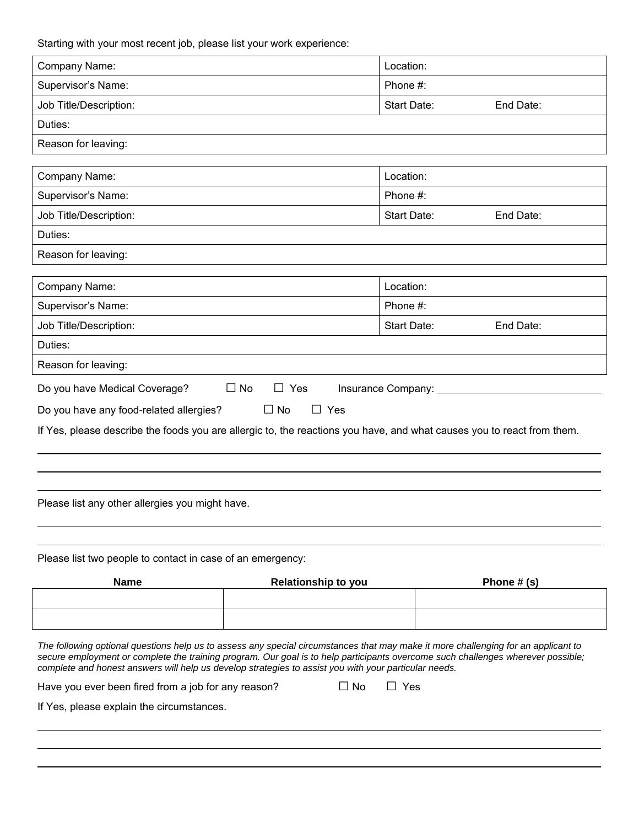Starting with your most recent job, please list your work experience:

| Company Name:                                                                                                                                                                                                                                                                                                                                                                   |                            | Location:   |           |
|---------------------------------------------------------------------------------------------------------------------------------------------------------------------------------------------------------------------------------------------------------------------------------------------------------------------------------------------------------------------------------|----------------------------|-------------|-----------|
| Supervisor's Name:                                                                                                                                                                                                                                                                                                                                                              |                            | Phone #:    |           |
| Job Title/Description:                                                                                                                                                                                                                                                                                                                                                          |                            | Start Date: | End Date: |
| Duties:                                                                                                                                                                                                                                                                                                                                                                         |                            |             |           |
| Reason for leaving:                                                                                                                                                                                                                                                                                                                                                             |                            |             |           |
|                                                                                                                                                                                                                                                                                                                                                                                 |                            |             |           |
| Company Name:                                                                                                                                                                                                                                                                                                                                                                   |                            | Location:   |           |
| Supervisor's Name:                                                                                                                                                                                                                                                                                                                                                              |                            | Phone #:    |           |
| Job Title/Description:                                                                                                                                                                                                                                                                                                                                                          |                            | Start Date: | End Date: |
| Duties:                                                                                                                                                                                                                                                                                                                                                                         |                            |             |           |
| Reason for leaving:                                                                                                                                                                                                                                                                                                                                                             |                            |             |           |
|                                                                                                                                                                                                                                                                                                                                                                                 |                            |             |           |
| Company Name:                                                                                                                                                                                                                                                                                                                                                                   |                            | Location:   |           |
| Supervisor's Name:                                                                                                                                                                                                                                                                                                                                                              |                            | Phone #:    |           |
| Job Title/Description:                                                                                                                                                                                                                                                                                                                                                          |                            | Start Date: | End Date: |
| Duties:                                                                                                                                                                                                                                                                                                                                                                         |                            |             |           |
| Reason for leaving:                                                                                                                                                                                                                                                                                                                                                             |                            |             |           |
| Do you have Medical Coverage?                                                                                                                                                                                                                                                                                                                                                   | $\Box$ No<br>$\Box$ Yes    |             |           |
| Do you have any food-related allergies?                                                                                                                                                                                                                                                                                                                                         | $\square$ No<br>$\Box$ Yes |             |           |
| If Yes, please describe the foods you are allergic to, the reactions you have, and what causes you to react from them.                                                                                                                                                                                                                                                          |                            |             |           |
|                                                                                                                                                                                                                                                                                                                                                                                 |                            |             |           |
|                                                                                                                                                                                                                                                                                                                                                                                 |                            |             |           |
|                                                                                                                                                                                                                                                                                                                                                                                 |                            |             |           |
| Please list any other allergies you might have.                                                                                                                                                                                                                                                                                                                                 |                            |             |           |
|                                                                                                                                                                                                                                                                                                                                                                                 |                            |             |           |
|                                                                                                                                                                                                                                                                                                                                                                                 |                            |             |           |
| Please list two people to contact in case of an emergency:                                                                                                                                                                                                                                                                                                                      |                            |             |           |
| Name<br>Phone $# (s)$<br><b>Relationship to you</b>                                                                                                                                                                                                                                                                                                                             |                            |             |           |
|                                                                                                                                                                                                                                                                                                                                                                                 |                            |             |           |
|                                                                                                                                                                                                                                                                                                                                                                                 |                            |             |           |
| The following optional questions help us to assess any special circumstances that may make it more challenging for an applicant to<br>secure employment or complete the training program. Our goal is to help participants overcome such challenges wherever possible;<br>complete and honest answers will help us develop strategies to assist you with your particular needs. |                            |             |           |
| $\Box$ No<br>$\Box$ Yes<br>Have you ever been fired from a job for any reason?                                                                                                                                                                                                                                                                                                  |                            |             |           |
| If Yes, please explain the circumstances.                                                                                                                                                                                                                                                                                                                                       |                            |             |           |